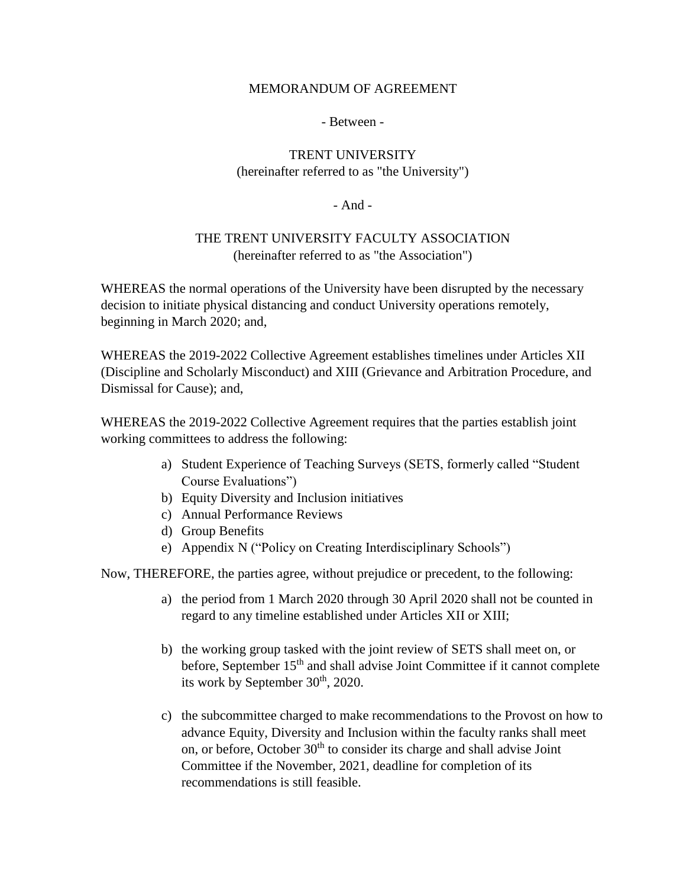## MEMORANDUM OF AGREEMENT

## - Between -

## TRENT UNIVERSITY (hereinafter referred to as "the University")

- And -

## THE TRENT UNIVERSITY FACULTY ASSOCIATION (hereinafter referred to as "the Association")

WHEREAS the normal operations of the University have been disrupted by the necessary decision to initiate physical distancing and conduct University operations remotely, beginning in March 2020; and,

WHEREAS the 2019-2022 Collective Agreement establishes timelines under Articles XII (Discipline and Scholarly Misconduct) and XIII (Grievance and Arbitration Procedure, and Dismissal for Cause); and,

WHEREAS the 2019-2022 Collective Agreement requires that the parties establish joint working committees to address the following:

- a) Student Experience of Teaching Surveys (SETS, formerly called "Student Course Evaluations")
- b) Equity Diversity and Inclusion initiatives
- c) Annual Performance Reviews
- d) Group Benefits
- e) Appendix N ("Policy on Creating Interdisciplinary Schools")

Now, THEREFORE, the parties agree, without prejudice or precedent, to the following:

- a) the period from 1 March 2020 through 30 April 2020 shall not be counted in regard to any timeline established under Articles XII or XIII;
- b) the working group tasked with the joint review of SETS shall meet on, or before, September 15<sup>th</sup> and shall advise Joint Committee if it cannot complete its work by September  $30<sup>th</sup>$ , 2020.
- c) the subcommittee charged to make recommendations to the Provost on how to advance Equity, Diversity and Inclusion within the faculty ranks shall meet on, or before, October  $30<sup>th</sup>$  to consider its charge and shall advise Joint Committee if the November, 2021, deadline for completion of its recommendations is still feasible.